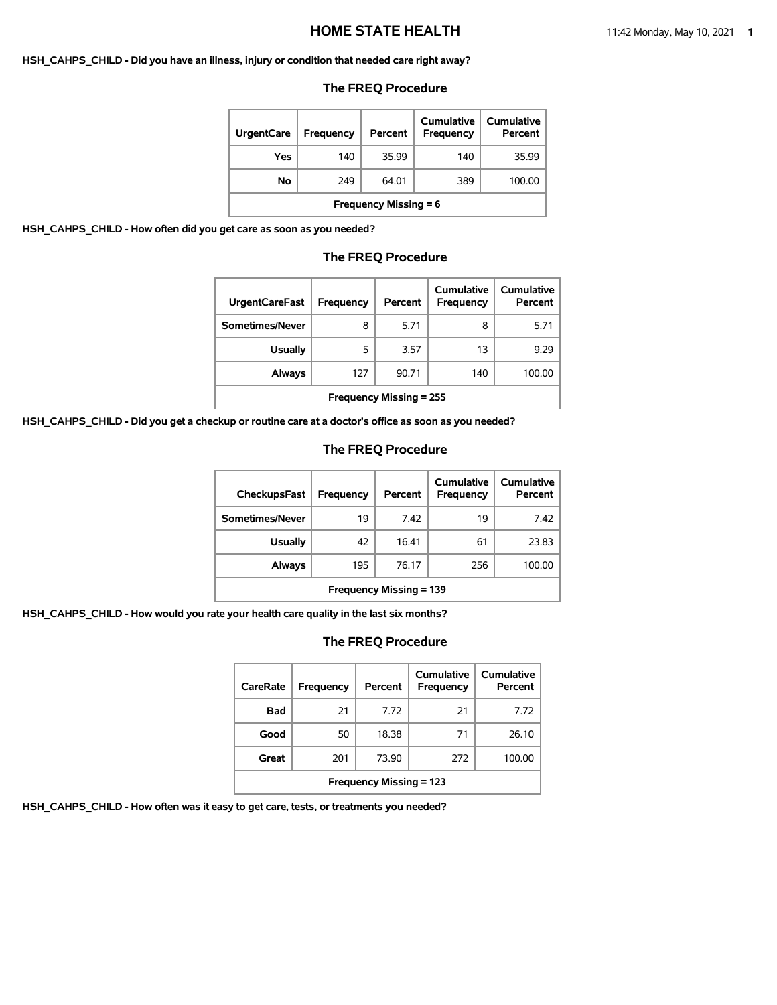#### **HSH\_CAHPS\_CHILD - Did you have an illness, injury or condition that needed care right away?**

#### **The FREQ Procedure**

| <b>UrgentCare</b>            | Frequency | Percent | <b>Cumulative</b><br>Frequency | Cumulative<br>Percent |  |
|------------------------------|-----------|---------|--------------------------------|-----------------------|--|
| Yes                          | 140       | 35.99   | 140                            | 35.99                 |  |
| No                           | 249       | 64.01   | 389                            | 100.00                |  |
| <b>Frequency Missing = 6</b> |           |         |                                |                       |  |

**HSH\_CAHPS\_CHILD - How often did you get care as soon as you needed?**

#### **The FREQ Procedure**

| <b>UrgentCareFast</b>          | Frequency | Percent | Cumulative<br><b>Frequency</b> | Cumulative<br>Percent |
|--------------------------------|-----------|---------|--------------------------------|-----------------------|
| Sometimes/Never                | 8         | 5.71    | 8                              | 5.71                  |
| <b>Usually</b>                 | 5         | 3.57    | 13                             | 9.29                  |
| Always                         | 127       | 90.71   | 140                            | 100.00                |
| <b>Frequency Missing = 255</b> |           |         |                                |                       |

**HSH\_CAHPS\_CHILD - Did you get a checkup or routine care at a doctor's office as soon as you needed?**

#### **The FREQ Procedure**

| <b>CheckupsFast</b>            | Frequency | Percent | Cumulative<br>Frequency | Cumulative<br>Percent |  |
|--------------------------------|-----------|---------|-------------------------|-----------------------|--|
| Sometimes/Never                | 19        | 7.42    | 19                      | 7.42                  |  |
| <b>Usually</b>                 | 42        | 16.41   | 61                      | 23.83                 |  |
| Always                         | 195       | 76.17   | 256                     | 100.00                |  |
| <b>Frequency Missing = 139</b> |           |         |                         |                       |  |

**HSH\_CAHPS\_CHILD - How would you rate your health care quality in the last six months?**

# **The FREQ Procedure**

| CareRate                       | Frequency | Percent | Cumulative<br><b>Frequency</b> | Cumulative<br>Percent |  |
|--------------------------------|-----------|---------|--------------------------------|-----------------------|--|
| Bad                            | 21        | 7.72    | 21                             | 7.72                  |  |
| Good                           | 50        | 18.38   | 71                             | 26.10                 |  |
| Great                          | 201       | 73.90   | 272                            | 100.00                |  |
| <b>Frequency Missing = 123</b> |           |         |                                |                       |  |

**HSH\_CAHPS\_CHILD - How often was it easy to get care, tests, or treatments you needed?**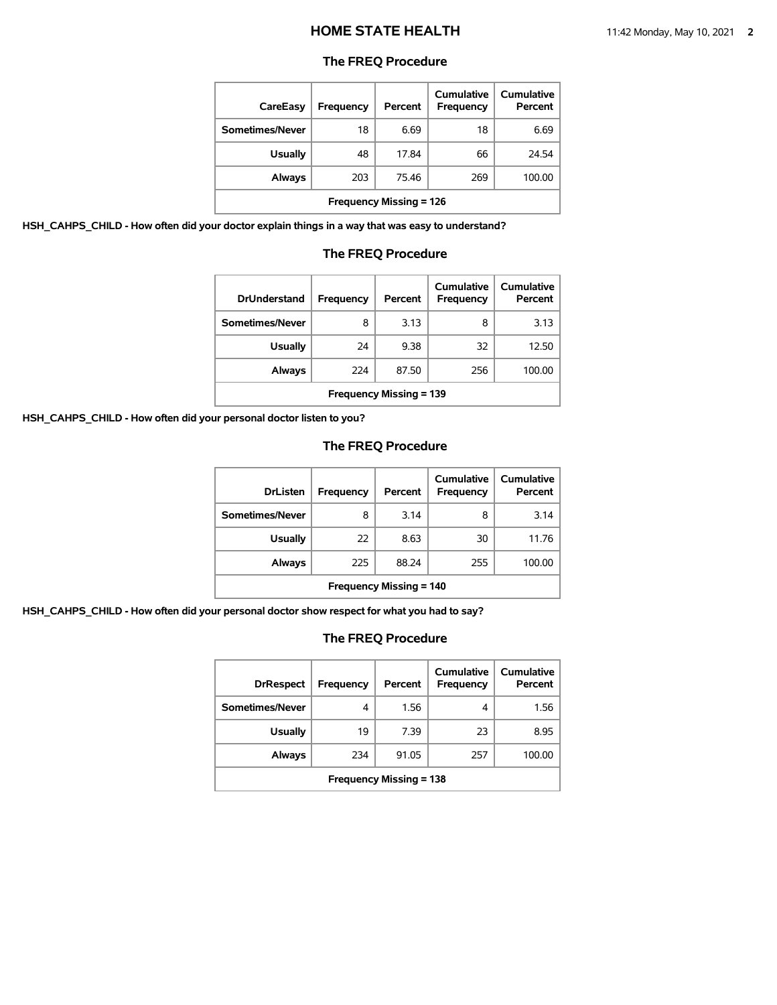#### **The FREQ Procedure**

| CareEasy                       | <b>Frequency</b> | Percent | Cumulative<br>Frequency | Cumulative<br>Percent |  |
|--------------------------------|------------------|---------|-------------------------|-----------------------|--|
| Sometimes/Never                | 18               | 6.69    | 18                      | 6.69                  |  |
| <b>Usually</b>                 | 48               | 17.84   | 66                      | 24.54                 |  |
| Always                         | 203              | 75.46   | 269                     | 100.00                |  |
| <b>Frequency Missing = 126</b> |                  |         |                         |                       |  |

**HSH\_CAHPS\_CHILD - How often did your doctor explain things in a way that was easy to understand?**

#### **The FREQ Procedure**

| <b>DrUnderstand</b>            | Frequency | Percent | Cumulative<br>Frequency | Cumulative<br>Percent |
|--------------------------------|-----------|---------|-------------------------|-----------------------|
| Sometimes/Never                | 8         | 3.13    | 8                       | 3.13                  |
| <b>Usually</b>                 | 24        | 9.38    | 32                      | 12.50                 |
| Always                         | 224       | 87.50   | 256                     | 100.00                |
| <b>Frequency Missing = 139</b> |           |         |                         |                       |

**HSH\_CAHPS\_CHILD - How often did your personal doctor listen to you?**

# **The FREQ Procedure**

| <b>DrListen</b>                | Frequency | Percent | Cumulative<br>Frequency | Cumulative<br>Percent |  |
|--------------------------------|-----------|---------|-------------------------|-----------------------|--|
| Sometimes/Never                | 8         | 3.14    | 8                       | 3.14                  |  |
| <b>Usually</b>                 | 22        | 8.63    | 30                      | 11.76                 |  |
| Always                         | 225       | 88.24   | 255                     | 100.00                |  |
| <b>Frequency Missing = 140</b> |           |         |                         |                       |  |

**HSH\_CAHPS\_CHILD - How often did your personal doctor show respect for what you had to say?**

| <b>DrRespect</b>               | Frequency | Percent | Cumulative<br>Frequency | Cumulative<br>Percent |  |
|--------------------------------|-----------|---------|-------------------------|-----------------------|--|
| Sometimes/Never                | 4         | 1.56    | 4                       | 1.56                  |  |
| <b>Usually</b>                 | 19        | 7.39    | 23                      | 8.95                  |  |
| Always                         | 234       | 91.05   | 257                     | 100.00                |  |
| <b>Frequency Missing = 138</b> |           |         |                         |                       |  |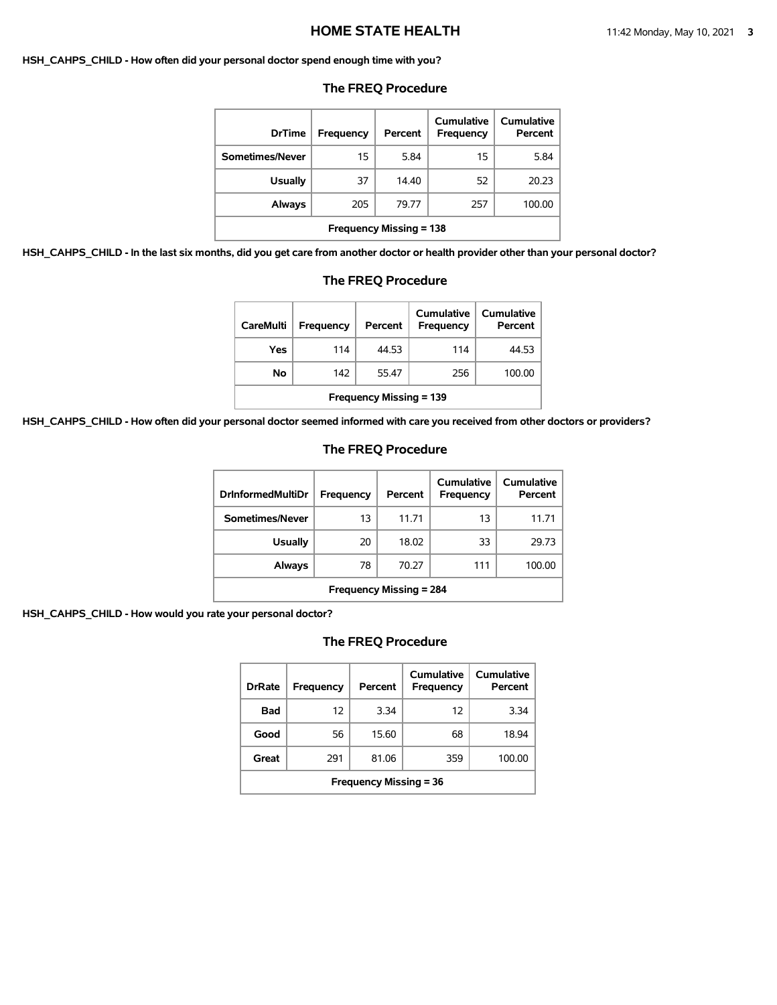#### **HSH\_CAHPS\_CHILD - How often did your personal doctor spend enough time with you?**

| <b>DrTime</b>                  | Frequency | Percent | Cumulative<br>Frequency | <b>Cumulative</b><br>Percent |
|--------------------------------|-----------|---------|-------------------------|------------------------------|
| Sometimes/Never                | 15        | 5.84    | 15                      | 5.84                         |
| <b>Usually</b>                 | 37        | 14.40   | 52                      | 20.23                        |
| Always                         | 205       | 79.77   | 257                     | 100.00                       |
| <b>Frequency Missing = 138</b> |           |         |                         |                              |

#### **The FREQ Procedure**

**HSH\_CAHPS\_CHILD - In the last six months, did you get care from another doctor or health provider other than your personal doctor?**

| <b>CareMulti</b>               | <b>Frequency</b> | Percent | Cumulative<br>Frequency | Cumulative<br>Percent |  |
|--------------------------------|------------------|---------|-------------------------|-----------------------|--|
| Yes                            | 114              | 44.53   | 114                     | 44.53                 |  |
| No                             | 142              | 55.47   | 256                     | 100.00                |  |
| <b>Frequency Missing = 139</b> |                  |         |                         |                       |  |

**The FREQ Procedure**

# **HSH\_CAHPS\_CHILD - How often did your personal doctor seemed informed with care you received from other doctors or providers?**

# **The FREQ Procedure**

| <b>DrInformedMultiDr</b>       | <b>Frequency</b> | Percent | Cumulative<br>Frequency | Cumulative<br>Percent |
|--------------------------------|------------------|---------|-------------------------|-----------------------|
| Sometimes/Never                | 13               | 11.71   | 13                      | 11.71                 |
| <b>Usually</b>                 | 20               | 18.02   | 33                      | 29.73                 |
| Always                         | 78               | 70.27   | 111                     | 100.00                |
| <b>Frequency Missing = 284</b> |                  |         |                         |                       |

**HSH\_CAHPS\_CHILD - How would you rate your personal doctor?**

| <b>DrRate</b>                 | Frequency | Percent | Cumulative<br>Frequency | Cumulative<br>Percent |  |
|-------------------------------|-----------|---------|-------------------------|-----------------------|--|
| Bad                           | 12        | 3.34    | 12                      | 3.34                  |  |
| Good                          | 56        | 15.60   | 68                      | 18.94                 |  |
| Great                         | 291       | 81.06   | 359                     | 100.00                |  |
| <b>Frequency Missing = 36</b> |           |         |                         |                       |  |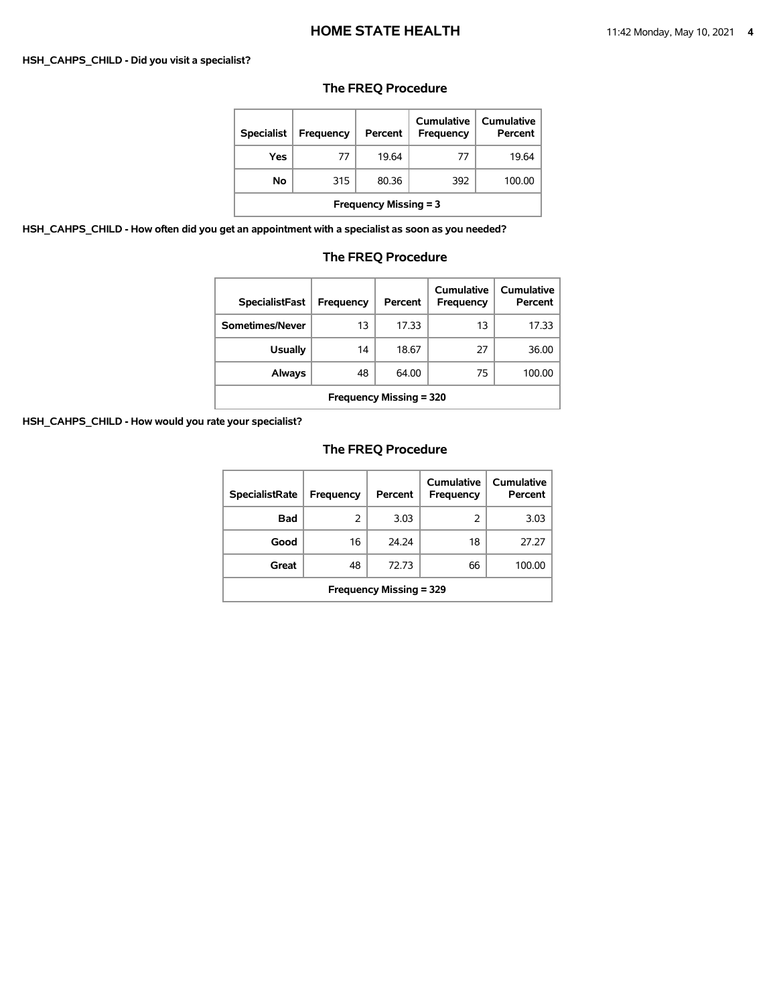#### **HSH\_CAHPS\_CHILD - Did you visit a specialist?**

# **The FREQ Procedure**

| <b>Specialist</b>            | <b>Frequency</b> | Percent | Cumulative<br>Frequency | Cumulative<br>Percent |  |
|------------------------------|------------------|---------|-------------------------|-----------------------|--|
| Yes                          | 77               | 19.64   | 77                      | 19.64                 |  |
| No                           | 315              | 80.36   | 392                     | 100.00                |  |
| <b>Frequency Missing = 3</b> |                  |         |                         |                       |  |

**HSH\_CAHPS\_CHILD - How often did you get an appointment with a specialist as soon as you needed?**

# **The FREQ Procedure**

| <b>SpecialistFast</b>          | Frequency | Percent | Cumulative<br>Frequency | Cumulative<br>Percent |  |
|--------------------------------|-----------|---------|-------------------------|-----------------------|--|
| Sometimes/Never                | 13        | 17.33   | 13                      | 17.33                 |  |
| <b>Usually</b>                 | 14        | 18.67   | 27                      | 36.00                 |  |
| Always                         | 48        | 64.00   | 75                      | 100.00                |  |
| <b>Frequency Missing = 320</b> |           |         |                         |                       |  |

**HSH\_CAHPS\_CHILD - How would you rate your specialist?**

| <b>SpecialistRate</b>          | Frequency | Percent | Cumulative<br>Frequency | Cumulative<br>Percent |  |
|--------------------------------|-----------|---------|-------------------------|-----------------------|--|
| <b>Bad</b>                     | 2         | 3.03    | 2                       | 3.03                  |  |
| Good                           | 16        | 24.24   | 18                      | 27.27                 |  |
| Great                          | 48        | 72.73   | 66                      | 100.00                |  |
| <b>Frequency Missing = 329</b> |           |         |                         |                       |  |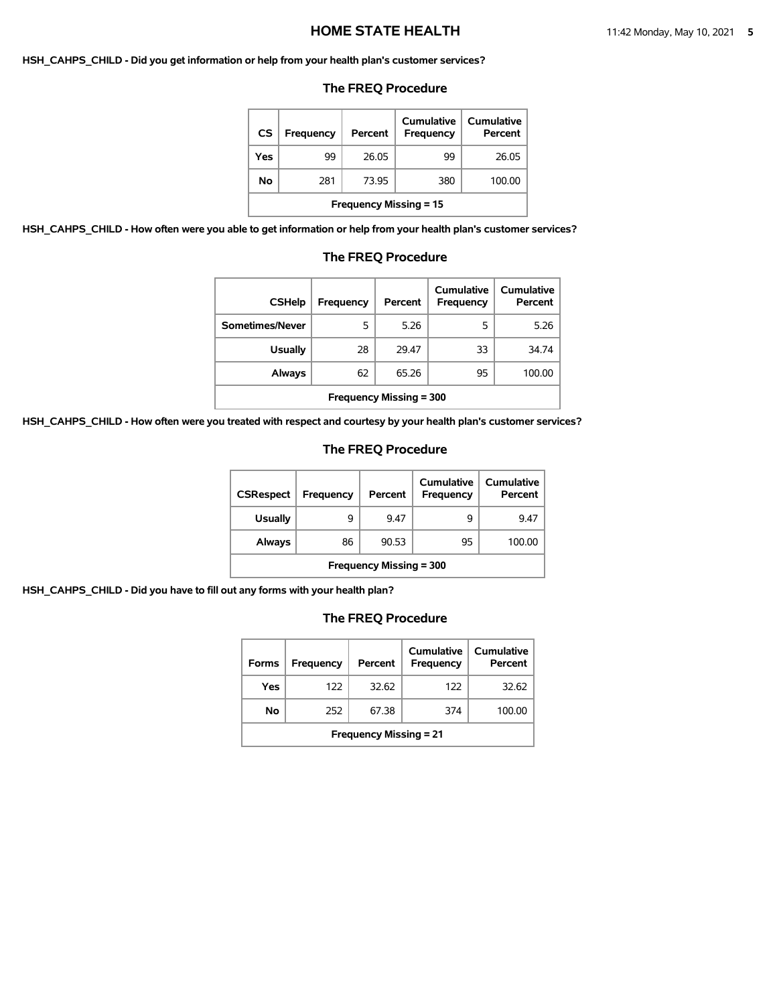#### **HSH\_CAHPS\_CHILD - Did you get information or help from your health plan's customer services?**

#### **The FREQ Procedure**

| <b>CS</b>                     | Frequency | Percent | Cumulative<br><b>Frequency</b> | Cumulative<br>Percent |  |
|-------------------------------|-----------|---------|--------------------------------|-----------------------|--|
| Yes                           | 99        | 26.05   | 99                             | 26.05                 |  |
| No.                           | 281       | 73.95   | 380                            | 100.00                |  |
| <b>Frequency Missing = 15</b> |           |         |                                |                       |  |

**HSH\_CAHPS\_CHILD - How often were you able to get information or help from your health plan's customer services?**

### **The FREQ Procedure**

| <b>CSHelp</b>                  | <b>Frequency</b> | Percent | Cumulative<br><b>Frequency</b> | <b>Cumulative</b><br>Percent |  |
|--------------------------------|------------------|---------|--------------------------------|------------------------------|--|
| Sometimes/Never                | 5                | 5.26    | 5                              | 5.26                         |  |
| <b>Usually</b>                 | 28               | 29.47   | 33                             | 34.74                        |  |
| Always                         | 62               | 65.26   | 95                             | 100.00                       |  |
| <b>Frequency Missing = 300</b> |                  |         |                                |                              |  |

**HSH\_CAHPS\_CHILD - How often were you treated with respect and courtesy by your health plan's customer services?**

### **The FREQ Procedure**

| <b>CSRespect</b>               | Frequency | Percent | Cumulative<br>Frequency | <b>Cumulative</b><br>Percent |  |
|--------------------------------|-----------|---------|-------------------------|------------------------------|--|
| <b>Usually</b>                 | 9         | 9.47    | q                       | 9.47                         |  |
| Always                         | 86        | 90.53   | 95                      | 100.00                       |  |
| <b>Frequency Missing = 300</b> |           |         |                         |                              |  |

**HSH\_CAHPS\_CHILD - Did you have to fill out any forms with your health plan?**

| <b>Forms</b>                  | Frequency | Percent | Cumulative<br><b>Frequency</b> | Cumulative<br>Percent |  |
|-------------------------------|-----------|---------|--------------------------------|-----------------------|--|
| Yes                           | 122       | 32.62   | 122                            | 32.62                 |  |
| No.                           | 252       | 67.38   | 374                            | 100.00                |  |
| <b>Frequency Missing = 21</b> |           |         |                                |                       |  |